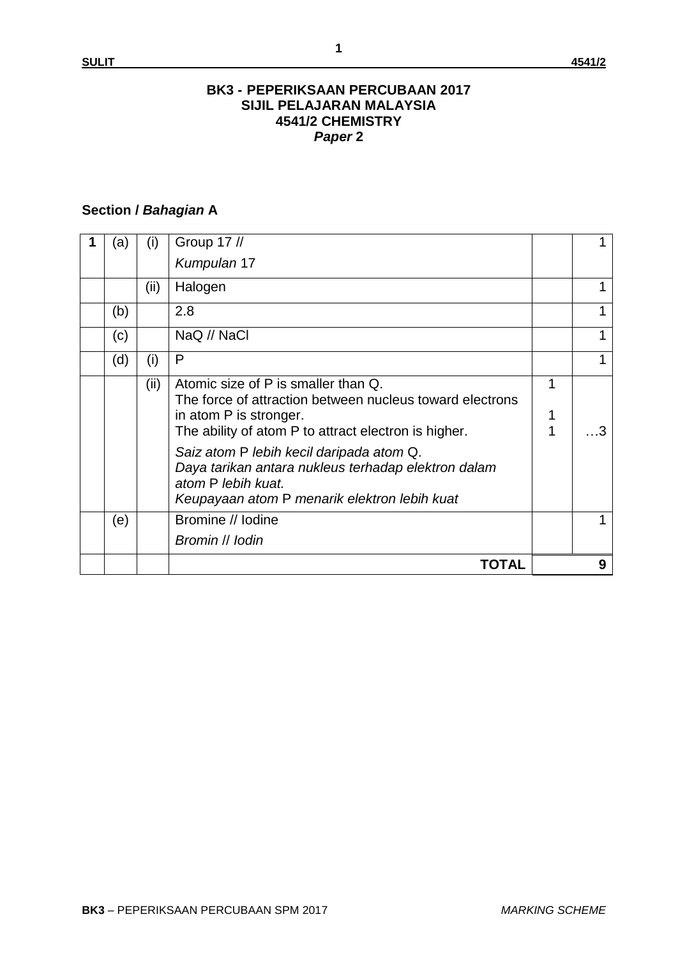#### **BK3 - PEPERIKSAAN PERCUBAAN 2017 SIJIL PELAJARAN MALAYSIA 4541/2 CHEMISTRY** *Paper* **2**

## **Section /** *Bahagian* **A**

| (a  | (i)  | Group 17 //                                                                                                                                                                       |        |   |
|-----|------|-----------------------------------------------------------------------------------------------------------------------------------------------------------------------------------|--------|---|
|     |      | Kumpulan 17                                                                                                                                                                       |        |   |
|     | (ii) | Halogen                                                                                                                                                                           |        |   |
| (b) |      | 2.8                                                                                                                                                                               |        |   |
| (c) |      | NaQ // NaCl                                                                                                                                                                       |        |   |
| (d) | (i)  | P                                                                                                                                                                                 |        |   |
|     | (ii) | Atomic size of P is smaller than Q.<br>The force of attraction between nucleus toward electrons<br>in atom P is stronger.<br>The ability of atom P to attract electron is higher. | 1<br>1 |   |
|     |      | Saiz atom P lebih kecil daripada atom Q.<br>Daya tarikan antara nukleus terhadap elektron dalam<br>atom P lebih kuat.<br>Keupayaan atom P menarik elektron lebih kuat             |        |   |
| (e) |      | Bromine // Iodine                                                                                                                                                                 |        |   |
|     |      | Bromin // lodin                                                                                                                                                                   |        |   |
|     |      | TOTAL                                                                                                                                                                             |        | 9 |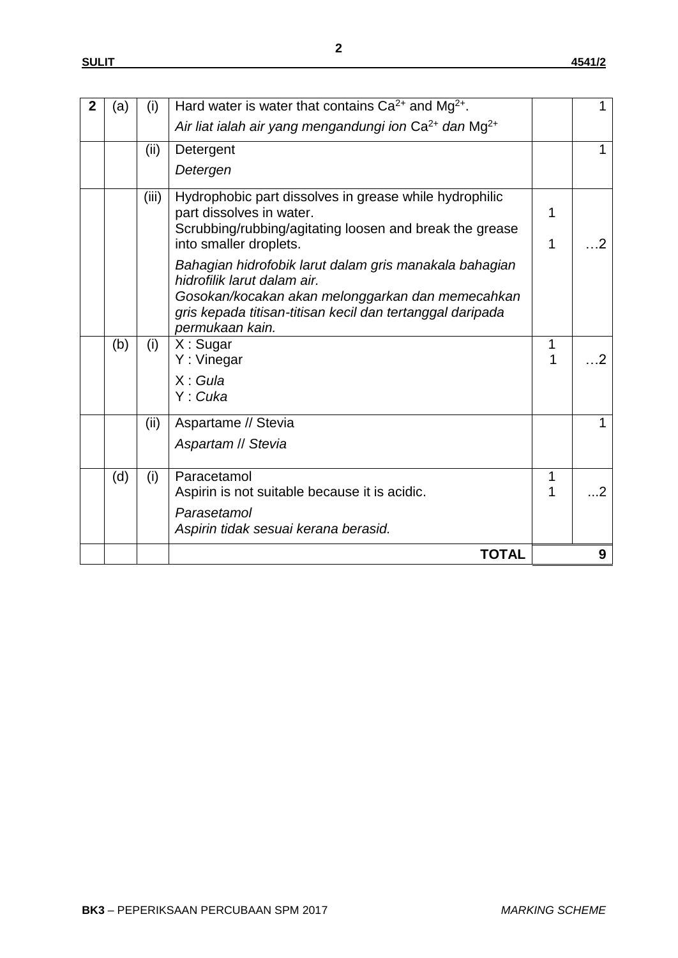| $\mathbf{2}$ | (a) | (i)   | Hard water is water that contains $Ca^{2+}$ and Mg <sup>2+</sup> .                    |        |                          |
|--------------|-----|-------|---------------------------------------------------------------------------------------|--------|--------------------------|
|              |     |       | Air liat ialah air yang mengandungi ion Ca <sup>2+</sup> dan Mg <sup>2+</sup>         |        |                          |
|              |     | (ii)  | Detergent                                                                             |        |                          |
|              |     |       | Detergen                                                                              |        |                          |
|              |     | (iii) | Hydrophobic part dissolves in grease while hydrophilic                                |        |                          |
|              |     |       | part dissolves in water.                                                              | 1      |                          |
|              |     |       | Scrubbing/rubbing/agitating loosen and break the grease<br>into smaller droplets.     | 1      | $\mathcal{P}$            |
|              |     |       |                                                                                       |        |                          |
|              |     |       | Bahagian hidrofobik larut dalam gris manakala bahagian<br>hidrofilik larut dalam air. |        |                          |
|              |     |       | Gosokan/kocakan akan melonggarkan dan memecahkan                                      |        |                          |
|              |     |       | gris kepada titisan-titisan kecil dan tertanggal daripada                             |        |                          |
|              |     |       | permukaan kain.                                                                       |        |                          |
|              | (b) | (i)   | $X:$ Sugar<br>Y: Vinegar                                                              | 1<br>1 | $\overline{\phantom{a}}$ |
|              |     |       | X: Gula                                                                               |        |                          |
|              |     |       | Y: Cuka                                                                               |        |                          |
|              |     |       |                                                                                       |        |                          |
|              |     | (ii)  | Aspartame // Stevia                                                                   |        |                          |
|              |     |       | Aspartam // Stevia                                                                    |        |                          |
|              | (d) | (i)   | Paracetamol                                                                           | 1      |                          |
|              |     |       | Aspirin is not suitable because it is acidic.                                         |        | $\overline{2}$           |
|              |     |       | Parasetamol                                                                           |        |                          |
|              |     |       | Aspirin tidak sesuai kerana berasid.                                                  |        |                          |
|              |     |       | <b>TOTAL</b>                                                                          |        | 9                        |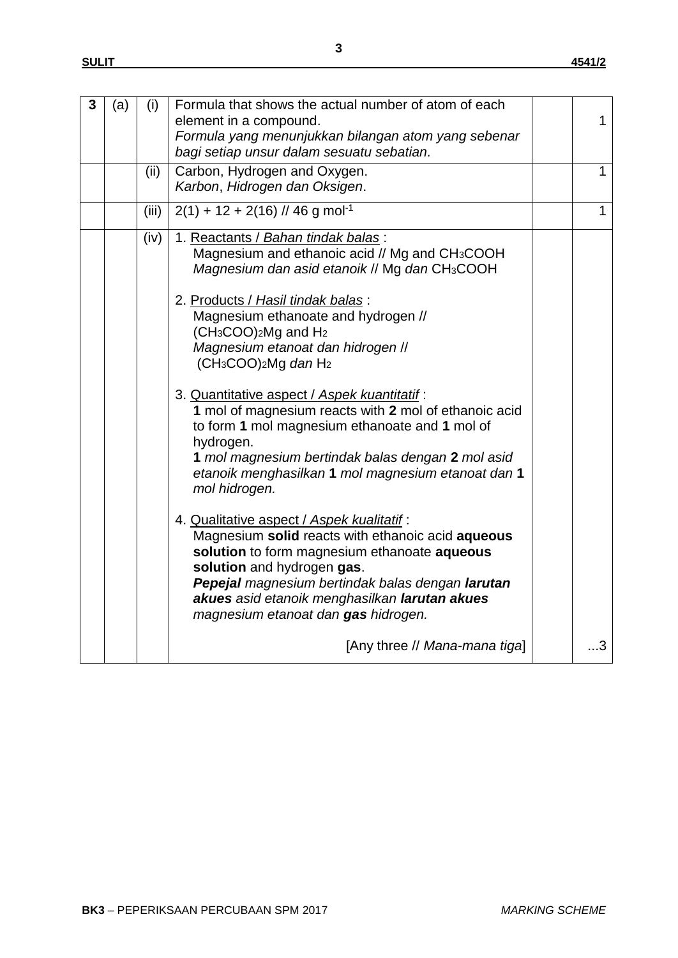| 3 | (a) | (i)   | Formula that shows the actual number of atom of each<br>element in a compound.<br>Formula yang menunjukkan bilangan atom yang sebenar<br>bagi setiap unsur dalam sesuatu sebatian.                                                                                                                                                                                                                                                                                                                                                                                                                                                                                                                                                                                                                                                                                                                                                                              | $\mathbf{1}$ |
|---|-----|-------|-----------------------------------------------------------------------------------------------------------------------------------------------------------------------------------------------------------------------------------------------------------------------------------------------------------------------------------------------------------------------------------------------------------------------------------------------------------------------------------------------------------------------------------------------------------------------------------------------------------------------------------------------------------------------------------------------------------------------------------------------------------------------------------------------------------------------------------------------------------------------------------------------------------------------------------------------------------------|--------------|
|   |     | (ii)  | Carbon, Hydrogen and Oxygen.<br>Karbon, Hidrogen dan Oksigen.                                                                                                                                                                                                                                                                                                                                                                                                                                                                                                                                                                                                                                                                                                                                                                                                                                                                                                   | 1            |
|   |     | (iii) | $2(1) + 12 + 2(16)$ // 46 g mol <sup>-1</sup>                                                                                                                                                                                                                                                                                                                                                                                                                                                                                                                                                                                                                                                                                                                                                                                                                                                                                                                   | $\mathbf{1}$ |
|   |     | (iv)  | 1. Reactants / Bahan tindak balas:<br>Magnesium and ethanoic acid // Mg and CH <sub>3</sub> COOH<br>Magnesium dan asid etanoik // Mg dan CH3COOH<br>2. Products / Hasil tindak balas:<br>Magnesium ethanoate and hydrogen //<br>$(CH3COO)2Mg$ and $H2$<br>Magnesium etanoat dan hidrogen //<br>$(CH3COO)2Mg$ dan H <sub>2</sub><br>3. Quantitative aspect / Aspek kuantitatif :<br>1 mol of magnesium reacts with 2 mol of ethanoic acid<br>to form 1 mol magnesium ethanoate and 1 mol of<br>hydrogen.<br>1 mol magnesium bertindak balas dengan 2 mol asid<br>etanoik menghasilkan 1 mol magnesium etanoat dan 1<br>mol hidrogen.<br>4. Qualitative aspect / Aspek kualitatif:<br>Magnesium solid reacts with ethanoic acid aqueous<br>solution to form magnesium ethanoate aqueous<br>solution and hydrogen gas.<br>Pepejal magnesium bertindak balas dengan larutan<br>akues asid etanoik menghasilkan larutan akues<br>magnesium etanoat dan gas hidrogen. |              |
|   |     |       | [Any three // Mana-mana tiga]                                                                                                                                                                                                                                                                                                                                                                                                                                                                                                                                                                                                                                                                                                                                                                                                                                                                                                                                   | 3            |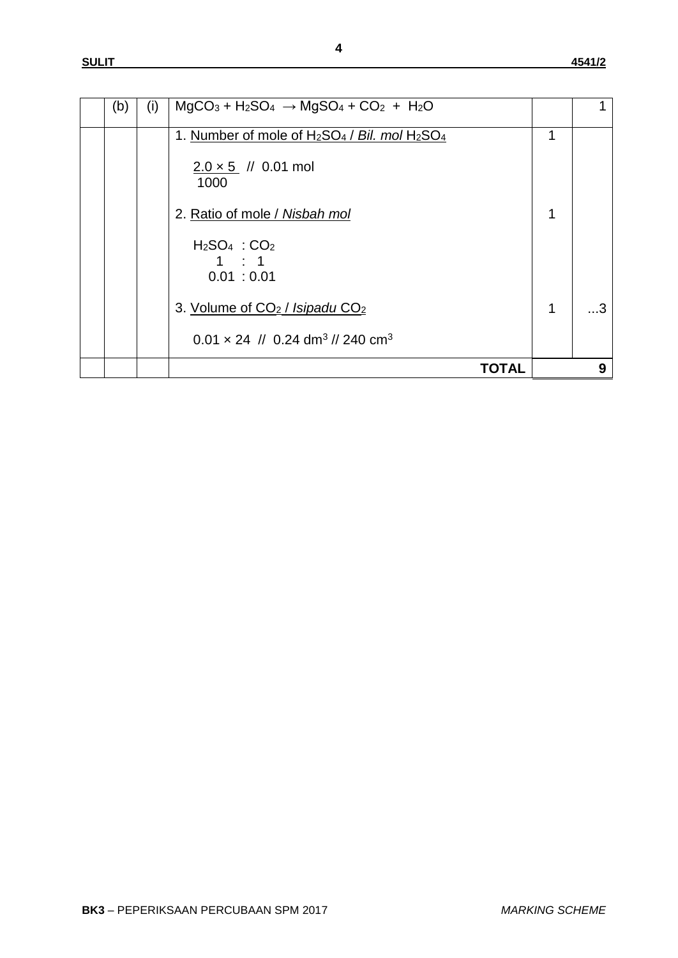| (b) | (i) | $MgCO3 + H2SO4 \rightarrow MgSO4 + CO2 + H2O$                                                                                       |   |   |
|-----|-----|-------------------------------------------------------------------------------------------------------------------------------------|---|---|
|     |     | 1. Number of mole of H <sub>2</sub> SO <sub>4</sub> / Bil. mol H <sub>2</sub> SO <sub>4</sub><br>$2.0 \times 5$ // 0.01 mol<br>1000 | 1 |   |
|     |     | 2. Ratio of mole / Nisbah mol                                                                                                       |   |   |
|     |     | $H2SO4 : CO2$<br>1 : 1<br>0.01 : 0.01                                                                                               |   |   |
|     |     | 3. Volume of CO <sub>2</sub> / Isipadu CO <sub>2</sub>                                                                              | 1 |   |
|     |     | $0.01 \times 24$ // 0.24 dm <sup>3</sup> // 240 cm <sup>3</sup>                                                                     |   |   |
|     |     | TOTAL                                                                                                                               |   | 9 |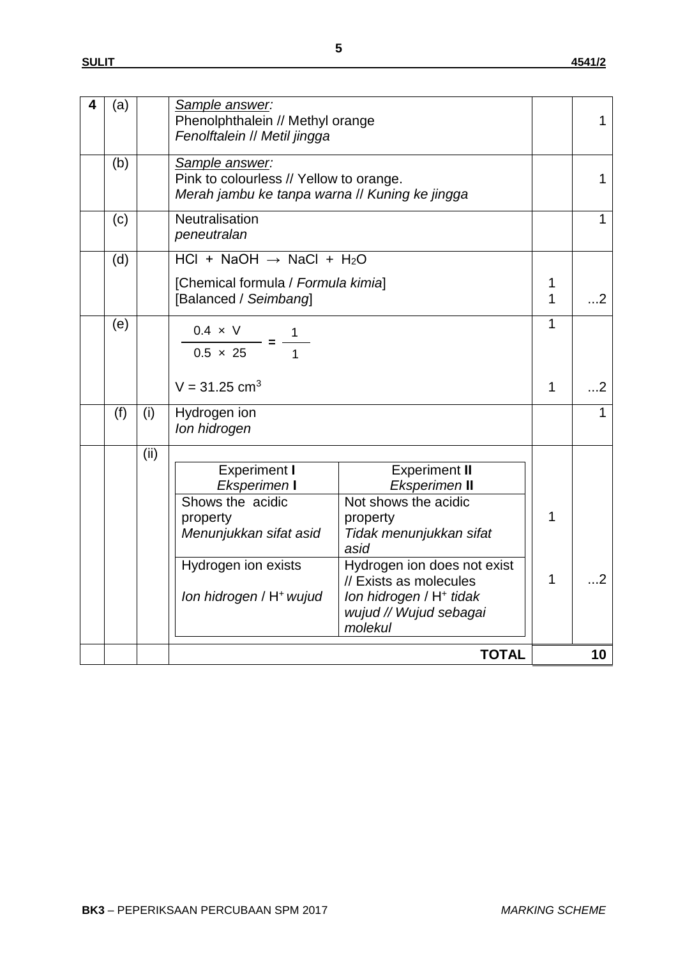| 4 | (a) |      | Sample answer:<br>Phenolphthalein // Methyl orange<br>Fenolftalein // Metil jingga                                                                          |                                                                                                                                                                                                                                                   |                  | 1            |
|---|-----|------|-------------------------------------------------------------------------------------------------------------------------------------------------------------|---------------------------------------------------------------------------------------------------------------------------------------------------------------------------------------------------------------------------------------------------|------------------|--------------|
|   | (b) |      | Sample answer:<br>Pink to colourless // Yellow to orange.<br>Merah jambu ke tanpa warna // Kuning ke jingga                                                 |                                                                                                                                                                                                                                                   |                  | 1            |
|   | (c) |      | Neutralisation<br>peneutralan                                                                                                                               |                                                                                                                                                                                                                                                   |                  | 1            |
|   | (d) |      | HCl + NaOH $\rightarrow$ NaCl + H <sub>2</sub> O<br>[Chemical formula / Formula kimia]<br>[Balanced / Seimbang]                                             |                                                                                                                                                                                                                                                   | 1<br>1           | $\dots$ 2    |
|   | (e) |      | $0.4 \times V$<br>$0.5 \times 25$<br>$V = 31.25$ cm <sup>3</sup>                                                                                            |                                                                                                                                                                                                                                                   | 1<br>$\mathbf 1$ | $\ldots$ 2   |
|   | (f) | (i)  | Hydrogen ion<br>Ion hidrogen                                                                                                                                |                                                                                                                                                                                                                                                   |                  | $\mathbf{1}$ |
|   |     | (ii) | <b>Experiment I</b><br>Eksperimen I<br>Shows the acidic<br>property<br>Menunjukkan sifat asid<br>Hydrogen ion exists<br>Ion hidrogen / H <sup>+</sup> wujud | <b>Experiment II</b><br>Eksperimen II<br>Not shows the acidic<br>property<br>Tidak menunjukkan sifat<br>asid<br>Hydrogen ion does not exist<br>// Exists as molecules<br>Ion hidrogen / H <sup>+</sup> tidak<br>wujud // Wujud sebagai<br>molekul | 1<br>1           | $\dots$ 2    |
|   |     |      |                                                                                                                                                             | <b>TOTAL</b>                                                                                                                                                                                                                                      |                  | 10           |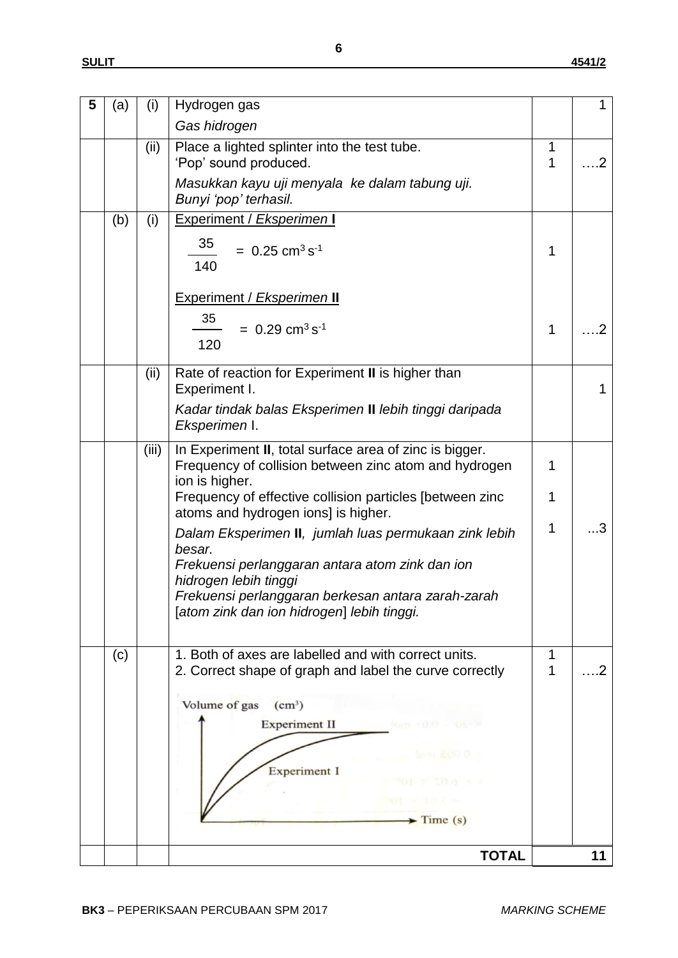| 5 | (a) | (i)   | Hydrogen gas                                                                                                                       |             |            |
|---|-----|-------|------------------------------------------------------------------------------------------------------------------------------------|-------------|------------|
|   |     |       | Gas hidrogen                                                                                                                       |             |            |
|   |     | (ii)  | Place a lighted splinter into the test tube.<br>'Pop' sound produced.                                                              | 1<br>1      | $\cdot$ .2 |
|   |     |       | Masukkan kayu uji menyala ke dalam tabung uji.<br>Bunyi 'pop' terhasil.                                                            |             |            |
|   | (b) | (i)   | Experiment / Eksperimen I<br>35<br>$= 0.25$ cm <sup>3</sup> s <sup>-1</sup>                                                        | 1           |            |
|   |     |       | 140                                                                                                                                |             |            |
|   |     |       | <b>Experiment / Eksperimen II</b>                                                                                                  |             |            |
|   |     |       | 35<br>$= 0.29$ cm <sup>3</sup> s <sup>-1</sup>                                                                                     | $\mathbf 1$ | .2         |
|   |     |       | 120                                                                                                                                |             |            |
|   |     | (ii)  | Rate of reaction for Experiment II is higher than<br>Experiment I.                                                                 |             | 1          |
|   |     |       | Kadar tindak balas Eksperimen II lebih tinggi daripada<br>Eksperimen I.                                                            |             |            |
|   |     | (iii) | In Experiment II, total surface area of zinc is bigger.<br>Frequency of collision between zinc atom and hydrogen<br>ion is higher. | 1           |            |
|   |     |       | Frequency of effective collision particles [between zinc<br>atoms and hydrogen ions] is higher.                                    | $\mathbf 1$ |            |
|   |     |       | Dalam Eksperimen II, jumlah luas permukaan zink lebih<br>besar.                                                                    | $\mathbf 1$ | 3          |
|   |     |       | Frekuensi perlanggaran antara atom zink dan ion<br>hidrogen lebih tinggi                                                           |             |            |
|   |     |       | Frekuensi perlanggaran berkesan antara zarah-zarah<br>[atom zink dan ion hidrogen] lebih tinggi.                                   |             |            |
|   | (c) |       | 1. Both of axes are labelled and with correct units.<br>2. Correct shape of graph and label the curve correctly                    | 1<br>1      | . 2        |
|   |     |       | Volume of gas<br>(cm <sup>3</sup> )                                                                                                |             |            |
|   |     |       | <b>Experiment II</b><br>(cap: 10.0                                                                                                 |             |            |
|   |     |       |                                                                                                                                    |             |            |
|   |     |       | <b>Experiment I</b>                                                                                                                |             |            |
|   |     |       |                                                                                                                                    |             |            |
|   |     |       | $\blacktriangleright$ Time (s)                                                                                                     |             |            |
|   |     |       | <b>TOTAL</b>                                                                                                                       |             | 11         |
|   |     |       |                                                                                                                                    |             |            |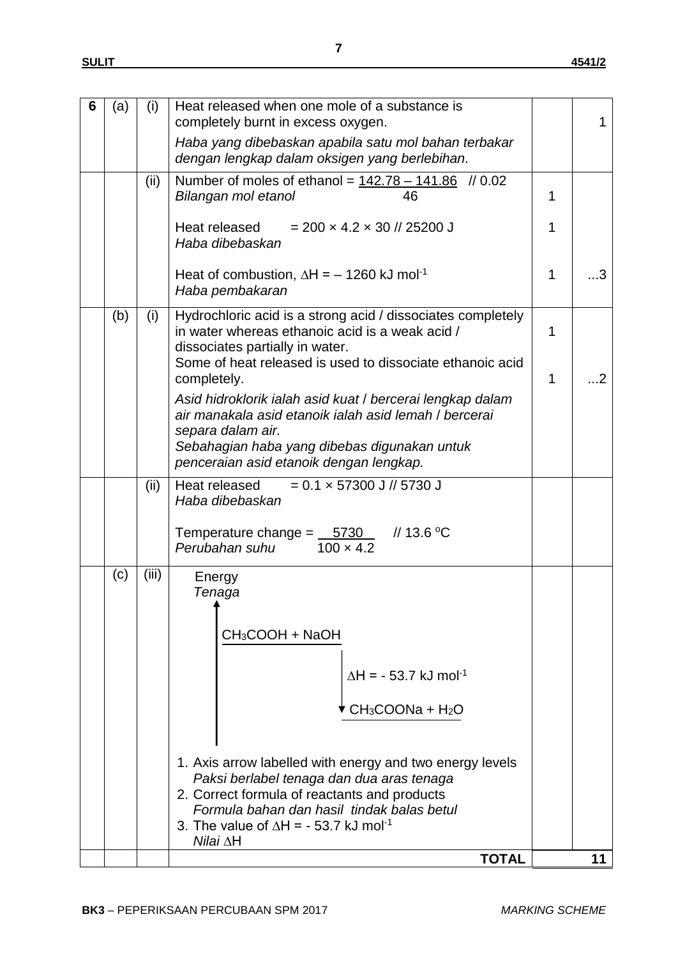| 6 | (a) | (i)   | Heat released when one mole of a substance is<br>completely burnt in excess oxygen.                                                               |   |                       |
|---|-----|-------|---------------------------------------------------------------------------------------------------------------------------------------------------|---|-----------------------|
|   |     |       | Haba yang dibebaskan apabila satu mol bahan terbakar<br>dengan lengkap dalam oksigen yang berlebihan.                                             |   |                       |
|   |     | (ii)  | Number of moles of ethanol = $142.78 - 141.86$ // 0.02<br>Bilangan mol etanol<br>46                                                               | 1 |                       |
|   |     |       | Heat released<br>$= 200 \times 4.2 \times 30$ // 25200 J<br>Haba dibebaskan                                                                       | 1 |                       |
|   |     |       | Heat of combustion, $\Delta H = -1260$ kJ mol <sup>-1</sup><br>Haba pembakaran                                                                    | 1 | .3                    |
|   | (b) | (i)   | Hydrochloric acid is a strong acid / dissociates completely<br>in water whereas ethanoic acid is a weak acid /<br>dissociates partially in water. | 1 |                       |
|   |     |       | Some of heat released is used to dissociate ethanoic acid<br>completely.                                                                          | 1 | $\ldots$ <sup>2</sup> |
|   |     |       | Asid hidroklorik ialah asid kuat / bercerai lengkap dalam<br>air manakala asid etanoik jalah asid lemah / bercerai                                |   |                       |
|   |     |       | separa dalam air.<br>Sebahagian haba yang dibebas digunakan untuk<br>penceraian asid etanoik dengan lengkap.                                      |   |                       |
|   |     | (ii)  | $= 0.1 \times 57300 \text{ J}$ // 5730 J<br>Heat released<br>Haba dibebaskan                                                                      |   |                       |
|   |     |       | // 13.6 °C<br>Temperature change = 5730<br>Perubahan suhu<br>$100 \times 4.2$                                                                     |   |                       |
|   | (c) | (iii) | Energy<br>Tenaga                                                                                                                                  |   |                       |
|   |     |       | CH <sub>3</sub> COOH + NaOH                                                                                                                       |   |                       |
|   |     |       | $\Delta H = -53.7$ kJ mol <sup>-1</sup>                                                                                                           |   |                       |
|   |     |       | $CH3COONa + H2O$                                                                                                                                  |   |                       |
|   |     |       | 1. Axis arrow labelled with energy and two energy levels                                                                                          |   |                       |
|   |     |       | Paksi berlabel tenaga dan dua aras tenaga<br>2. Correct formula of reactants and products                                                         |   |                       |
|   |     |       | Formula bahan dan hasil tindak balas betul<br>3. The value of $\Delta H = -53.7$ kJ mol <sup>-1</sup>                                             |   |                       |
|   |     |       | $N$ ilai $\Delta H$<br><b>TOTAL</b>                                                                                                               |   | 11                    |
|   |     |       |                                                                                                                                                   |   |                       |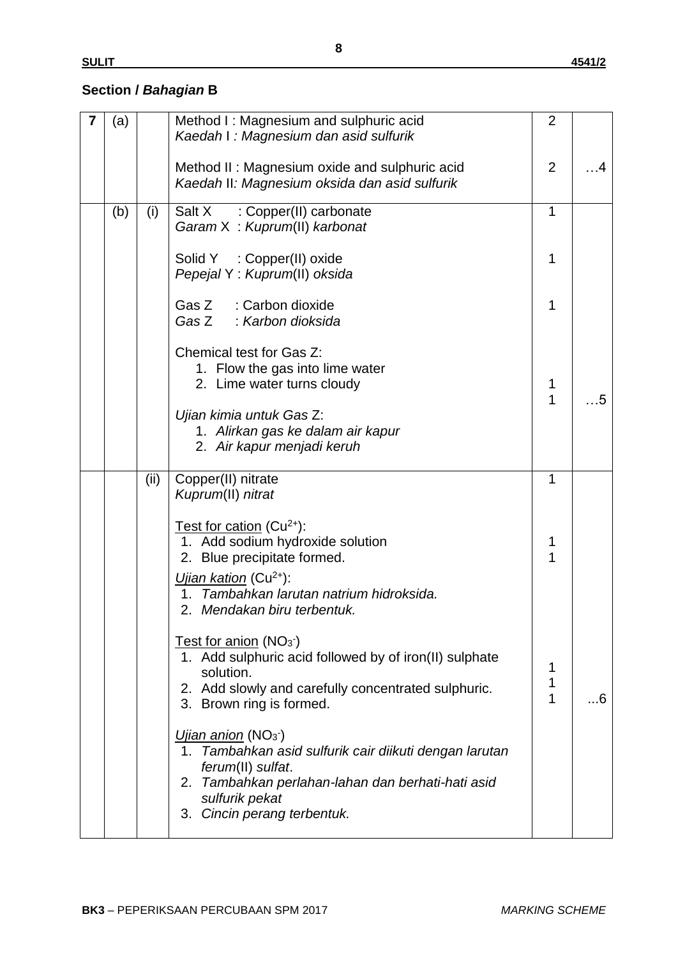### **Section /** *Bahagian* **B**

| 7 | (a) |      | Method I: Magnesium and sulphuric acid<br>Kaedah I: Magnesium dan asid sulfurik                                                                                                                                     | $\overline{2}$ |    |
|---|-----|------|---------------------------------------------------------------------------------------------------------------------------------------------------------------------------------------------------------------------|----------------|----|
|   |     |      | Method II: Magnesium oxide and sulphuric acid<br>Kaedah II: Magnesium oksida dan asid sulfurik                                                                                                                      | $\overline{2}$ | -4 |
|   | (b) | (i)  | : Copper(II) carbonate<br>Salt X<br>Garam X: Kuprum(II) karbonat                                                                                                                                                    | $\mathbf{1}$   |    |
|   |     |      | Solid Y : Copper(II) oxide<br>Pepejal Y: Kuprum(II) oksida                                                                                                                                                          | 1              |    |
|   |     |      | Gas Z : Carbon dioxide<br>Gas Z : Karbon dioksida                                                                                                                                                                   | 1              |    |
|   |     |      | Chemical test for Gas Z:<br>1. Flow the gas into lime water<br>2. Lime water turns cloudy                                                                                                                           | 1<br>1         | 5  |
|   |     |      | Ujian kimia untuk Gas Z:<br>1. Alirkan gas ke dalam air kapur<br>2. Air kapur menjadi keruh                                                                                                                         |                |    |
|   |     | (ii) | Copper(II) nitrate<br>Kuprum(II) nitrat                                                                                                                                                                             | 1              |    |
|   |     |      | Test for cation $(Cu^{2+})$ :<br>1. Add sodium hydroxide solution<br>2. Blue precipitate formed.                                                                                                                    | 1<br>1         |    |
|   |     |      | <i>Ujian kation</i> (Cu <sup>2+</sup> ):<br>Tambahkan larutan natrium hidroksida.<br>1.<br>2. Mendakan biru terbentuk.                                                                                              |                |    |
|   |     |      | Test for anion $(NO3)$<br>1. Add sulphuric acid followed by of iron(II) sulphate<br>solution.<br>2. Add slowly and carefully concentrated sulphuric.<br>3. Brown ring is formed.                                    | 1<br>1<br>1    | 6  |
|   |     |      | Ujian anion (NO <sub>3</sub> )<br>1. Tambahkan asid sulfurik cair diikuti dengan larutan<br>ferum(II) sulfat.<br>2. Tambahkan perlahan-lahan dan berhati-hati asid<br>sulfurik pekat<br>3. Cincin perang terbentuk. |                |    |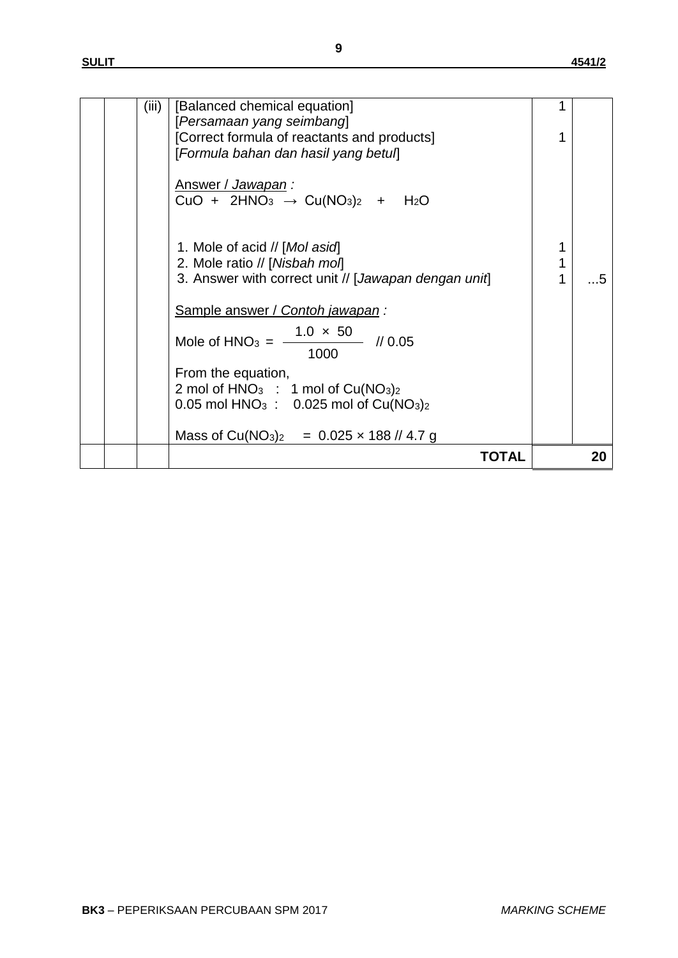|  |       | TOTAL                                                                                                                  |   | 20 |
|--|-------|------------------------------------------------------------------------------------------------------------------------|---|----|
|  |       | Mass of Cu(NO <sub>3</sub> ) <sub>2</sub> = $0.025 \times 188$ // 4.7 g                                                |   |    |
|  |       | 2 mol of $HNO3$ : 1 mol of $Cu(NO3)2$<br>0.05 mol HNO <sub>3</sub> : 0.025 mol of $Cu(NO3)2$                           |   |    |
|  |       | From the equation,                                                                                                     |   |    |
|  |       | Mole of HNO <sub>3</sub> = $\frac{1.0 \times 50}{1.0 \times 50}$ // 0.05<br>1000                                       |   |    |
|  |       | Sample answer / Contoh jawapan:                                                                                        |   |    |
|  |       | 1. Mole of acid // [Mol asid]<br>2. Mole ratio // [Nisbah mol]<br>3. Answer with correct unit // [Jawapan dengan unit] | 1 | 5  |
|  |       | Answer / Jawapan:<br>$CuO + 2HNO3 \rightarrow Cu(NO3)2 + H2O$                                                          |   |    |
|  |       | [Persamaan yang seimbang]<br>[Correct formula of reactants and products]<br>[Formula bahan dan hasil yang betul]       |   |    |
|  | (iii) | [Balanced chemical equation]                                                                                           |   |    |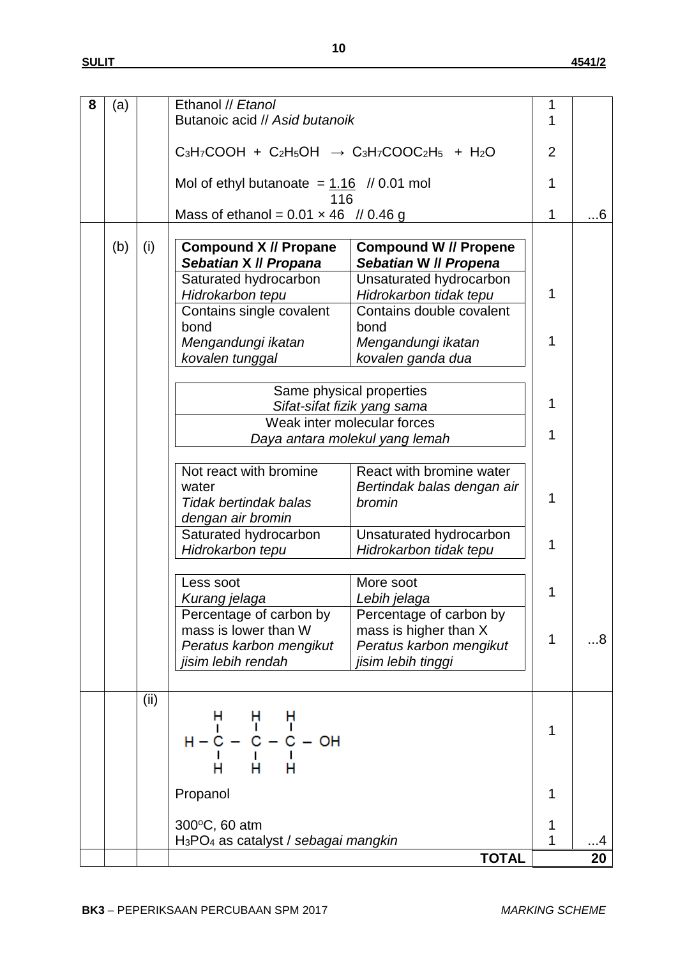| 8 | (a) |      | Ethanol // Etanol                                            |                                | 1 |           |
|---|-----|------|--------------------------------------------------------------|--------------------------------|---|-----------|
|   |     |      | Butanoic acid // Asid butanoik                               |                                | 1 |           |
|   |     |      |                                                              |                                |   |           |
|   |     |      | $C_3H_7COOH + C_2H_5OH \rightarrow C_3H_7COOC_2H_5 + H_2O$   |                                |   |           |
|   |     |      |                                                              |                                |   |           |
|   |     |      |                                                              |                                |   |           |
|   |     |      | Mol of ethyl butanoate = $1.16$ // 0.01 mol                  |                                | 1 |           |
|   |     |      | 116                                                          |                                |   |           |
|   |     |      | Mass of ethanol = $0.01 \times 46$ // 0.46 g                 |                                | 1 | $\dots 6$ |
|   |     |      |                                                              |                                |   |           |
|   | (b) | (i)  | <b>Compound X // Propane</b>                                 | <b>Compound W // Propene</b>   |   |           |
|   |     |      | Sebatian X // Propana                                        | Sebatian W // Propena          |   |           |
|   |     |      |                                                              |                                |   |           |
|   |     |      | Saturated hydrocarbon                                        | Unsaturated hydrocarbon        |   |           |
|   |     |      | Hidrokarbon tepu                                             | Hidrokarbon tidak tepu         | 1 |           |
|   |     |      | Contains single covalent                                     | Contains double covalent       |   |           |
|   |     |      | bond                                                         | bond                           |   |           |
|   |     |      | Mengandungi ikatan                                           | Mengandungi ikatan             | 1 |           |
|   |     |      |                                                              |                                |   |           |
|   |     |      | kovalen tunggal                                              | kovalen ganda dua              |   |           |
|   |     |      |                                                              |                                |   |           |
|   |     |      |                                                              | Same physical properties       |   |           |
|   |     |      |                                                              | Sifat-sifat fizik yang sama    | 1 |           |
|   |     |      |                                                              | Weak inter molecular forces    |   |           |
|   |     |      |                                                              |                                | 1 |           |
|   |     |      |                                                              | Daya antara molekul yang lemah |   |           |
|   |     |      |                                                              |                                |   |           |
|   |     |      | Not react with bromine                                       | React with bromine water       |   |           |
|   |     |      | water                                                        | Bertindak balas dengan air     |   |           |
|   |     |      | <b>Tidak bertindak balas</b>                                 | bromin                         | 1 |           |
|   |     |      |                                                              |                                |   |           |
|   |     |      | dengan air bromin                                            |                                |   |           |
|   |     |      | Saturated hydrocarbon                                        | Unsaturated hydrocarbon        |   |           |
|   |     |      | Hidrokarbon tepu                                             | Hidrokarbon tidak tepu         | 1 |           |
|   |     |      |                                                              |                                |   |           |
|   |     |      |                                                              |                                |   |           |
|   |     |      | Less soot                                                    | More soot                      | 1 |           |
|   |     |      | Kurang jelaga                                                | Lebih jelaga                   |   |           |
|   |     |      | Percentage of carbon by                                      | Percentage of carbon by        |   |           |
|   |     |      | mass is lower than W                                         | mass is higher than X          |   |           |
|   |     |      | Peratus karbon mengikut                                      | Peratus karbon mengikut        | 1 | 88        |
|   |     |      | jisim lebih rendah                                           | jisim lebih tinggi             |   |           |
|   |     |      |                                                              |                                |   |           |
|   |     |      |                                                              |                                |   |           |
|   |     | (ii) |                                                              |                                |   |           |
|   |     |      |                                                              |                                |   |           |
|   |     |      |                                                              |                                | 1 |           |
|   |     |      |                                                              |                                |   |           |
|   |     |      |                                                              |                                |   |           |
|   |     |      |                                                              |                                |   |           |
|   |     |      |                                                              |                                |   |           |
|   |     |      | Propanol                                                     |                                | 1 |           |
|   |     |      |                                                              |                                |   |           |
|   |     |      |                                                              |                                |   |           |
|   |     |      | 300°C, 60 atm                                                |                                | 1 |           |
|   |     |      | H <sub>3</sub> PO <sub>4</sub> as catalyst / sebagai mangkin |                                | 1 | 4         |
|   |     |      |                                                              | <b>TOTAL</b>                   |   | 20        |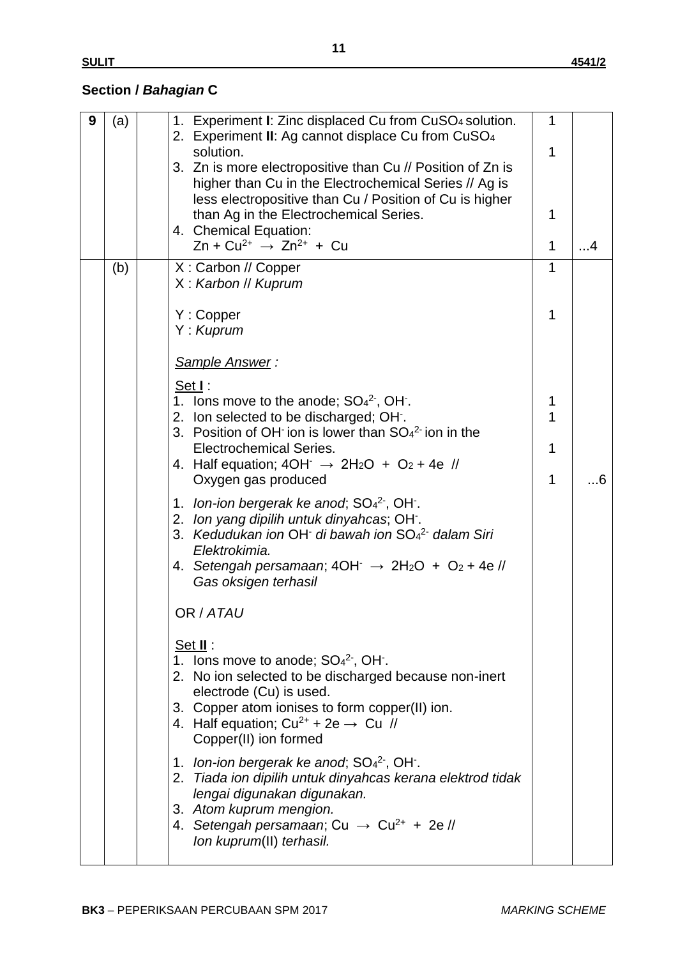# **Section /** *Bahagian* **C**

| 9 | (a) | 1. Experiment I: Zinc displaced Cu from CuSO4 solution.<br>2. Experiment II: Ag cannot displace Cu from CuSO <sub>4</sub><br>solution.<br>3. Zn is more electropositive than Cu // Position of Zn is<br>higher than Cu in the Electrochemical Series // Ag is<br>less electropositive than Cu / Position of Cu is higher<br>than Ag in the Electrochemical Series.<br>4. Chemical Equation:<br>$Zn + Cu^{2+} \rightarrow Zn^{2+} + Cu$                                                                                                                                                                                                                                                                                                                                                                                                                                      | 1<br>1<br>1<br>$\mathbf{1}$ | . 4 |
|---|-----|-----------------------------------------------------------------------------------------------------------------------------------------------------------------------------------------------------------------------------------------------------------------------------------------------------------------------------------------------------------------------------------------------------------------------------------------------------------------------------------------------------------------------------------------------------------------------------------------------------------------------------------------------------------------------------------------------------------------------------------------------------------------------------------------------------------------------------------------------------------------------------|-----------------------------|-----|
|   | (b) | X: Carbon // Copper<br>X: Karbon // Kuprum<br>Y: Copper<br>Y: Kuprum                                                                                                                                                                                                                                                                                                                                                                                                                                                                                                                                                                                                                                                                                                                                                                                                        | 1<br>1                      |     |
|   |     | Sample Answer:<br>Set I:<br>1. Ions move to the anode; $SO_4^2$ , OH.<br>2. Ion selected to be discharged; OH.<br>3. Position of OH ion is lower than $SO42$ ion in the<br><b>Electrochemical Series.</b><br>4. Half equation; $4OH \rightarrow 2H_2O + O_2 + 4e$ //<br>Oxygen gas produced<br>1. Ion-ion bergerak ke anod; $SO_4^2$ , OH.<br>2. Ion yang dipilih untuk dinyahcas; OH.<br>3. Kedudukan ion OH di bawah ion SO <sub>4</sub> <sup>2</sup> dalam Siri<br>Elektrokimia.<br>4. Setengah persamaan; $4OH^- \rightarrow 2H_2O + O_2 + 4e$ //<br>Gas oksigen terhasil<br>OR / ATAU<br><u>Set II</u> :<br>1. Ions move to anode; $SO_4^2$ , OH.<br>2. No ion selected to be discharged because non-inert<br>electrode (Cu) is used.<br>3. Copper atom ionises to form copper(II) ion.<br>4. Half equation; $Cu^{2+} + 2e \rightarrow Cu$ //<br>Copper(II) ion formed | 1<br>1<br>$\mathbf{1}$<br>1 | 6   |
|   |     | 1. Ion-ion bergerak ke anod; $SO_4^2$ , OH.<br>2. Tiada ion dipilih untuk dinyahcas kerana elektrod tidak<br>lengai digunakan digunakan.<br>3. Atom kuprum mengion.<br>4. Setengah persamaan; Cu $\rightarrow$ Cu <sup>2+</sup> + 2e //<br>Ion kuprum(II) terhasil.                                                                                                                                                                                                                                                                                                                                                                                                                                                                                                                                                                                                         |                             |     |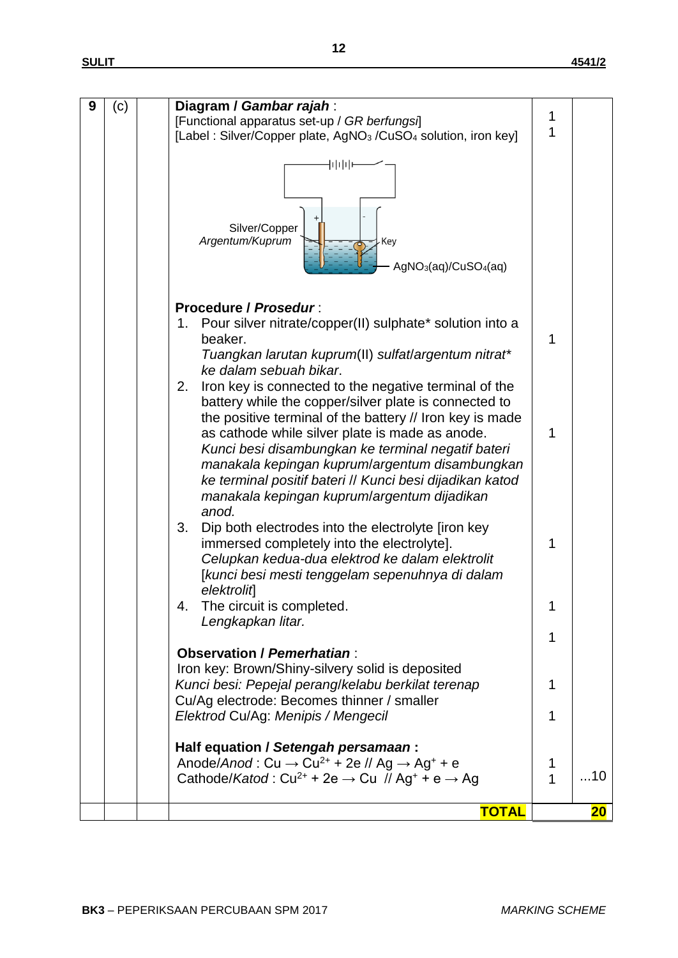| 9 | (c) | Diagram / Gambar rajah:                                                                            |   |                 |
|---|-----|----------------------------------------------------------------------------------------------------|---|-----------------|
|   |     | [Functional apparatus set-up / GR berfungsi]                                                       | 1 |                 |
|   |     | [Label: Silver/Copper plate, AgNO <sub>3</sub> /CuSO <sub>4</sub> solution, iron key]              | 1 |                 |
|   |     | 111111<br>Silver/Copper<br>Argentum/Kuprum<br>Key<br>$AgNO3(aq)/CuSO4(aq)$                         |   |                 |
|   |     | Procedure / Prosedur:                                                                              |   |                 |
|   |     | Pour silver nitrate/copper(II) sulphate* solution into a<br>1.<br>beaker.                          | 1 |                 |
|   |     | Tuangkan larutan kuprum(II) sulfat/argentum nitrat*                                                |   |                 |
|   |     | ke dalam sebuah bikar.                                                                             |   |                 |
|   |     | 2.<br>Iron key is connected to the negative terminal of the                                        |   |                 |
|   |     | battery while the copper/silver plate is connected to                                              |   |                 |
|   |     | the positive terminal of the battery // Iron key is made                                           |   |                 |
|   |     | as cathode while silver plate is made as anode.                                                    | 1 |                 |
|   |     | Kunci besi disambungkan ke terminal negatif bateri                                                 |   |                 |
|   |     | manakala kepingan kuprum/argentum disambungkan                                                     |   |                 |
|   |     | ke terminal positif bateri // Kunci besi dijadikan katod                                           |   |                 |
|   |     | manakala kepingan kuprum/argentum dijadikan                                                        |   |                 |
|   |     | anod.                                                                                              |   |                 |
|   |     | 3.<br>Dip both electrodes into the electrolyte firon key                                           |   |                 |
|   |     | immersed completely into the electrolyte].                                                         | 1 |                 |
|   |     | Celupkan kedua-dua elektrod ke dalam elektrolit<br>[kunci besi mesti tenggelam sepenuhnya di dalam |   |                 |
|   |     | elektrolit                                                                                         |   |                 |
|   |     | The circuit is completed.                                                                          | 1 |                 |
|   |     | Lengkapkan litar.                                                                                  |   |                 |
|   |     |                                                                                                    | 1 |                 |
|   |     | Observation / Pemerhatian:                                                                         |   |                 |
|   |     | Iron key: Brown/Shiny-silvery solid is deposited                                                   |   |                 |
|   |     | Kunci besi: Pepejal perang/kelabu berkilat terenap                                                 | 1 |                 |
|   |     | Cu/Ag electrode: Becomes thinner / smaller                                                         |   |                 |
|   |     | Elektrod Cu/Ag: Menipis / Mengecil                                                                 | 1 |                 |
|   |     | Half equation / Setengah persamaan:                                                                |   |                 |
|   |     | Anode/Anod: $Cu \rightarrow Cu^{2+} + 2e$ // Ag $\rightarrow$ Ag <sup>+</sup> + e                  | 1 |                 |
|   |     | Cathode/Katod: $Cu^{2+} + 2e \rightarrow Cu$ // Ag <sup>+</sup> + e $\rightarrow$ Ag               | 1 | 10              |
|   |     |                                                                                                    |   |                 |
|   |     | <b>TOTAL</b>                                                                                       |   | 20 <sub>o</sub> |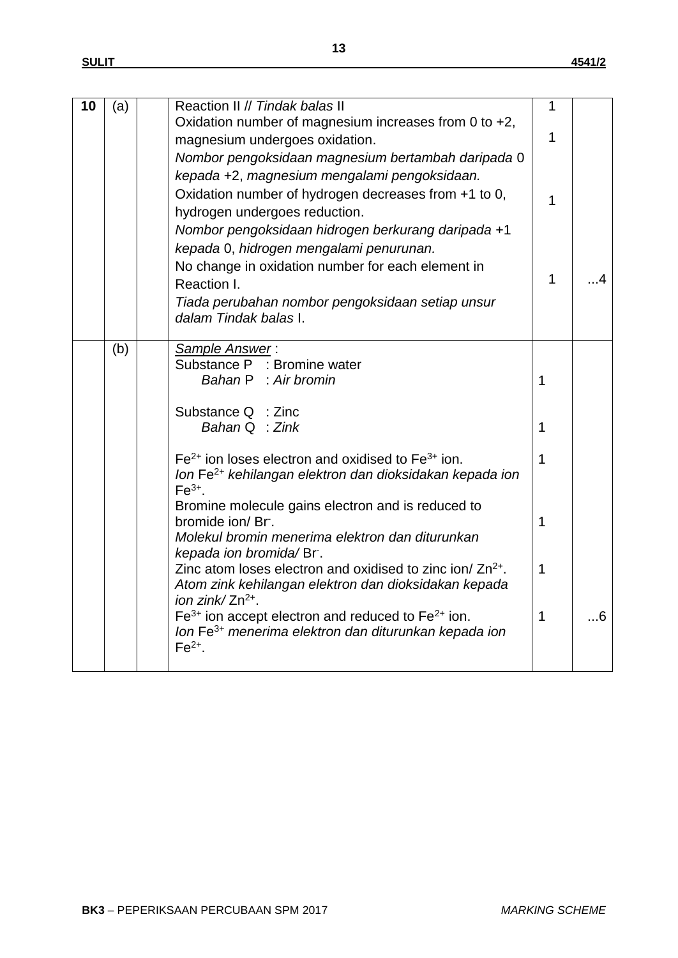| 10 | (a) | Reaction II // Tindak balas II                                                                     | 1            |     |
|----|-----|----------------------------------------------------------------------------------------------------|--------------|-----|
|    |     | Oxidation number of magnesium increases from 0 to +2,                                              | 1            |     |
|    |     | magnesium undergoes oxidation.                                                                     |              |     |
|    |     | Nombor pengoksidaan magnesium bertambah daripada 0<br>kepada +2, magnesium mengalami pengoksidaan. |              |     |
|    |     | Oxidation number of hydrogen decreases from +1 to 0,                                               |              |     |
|    |     | hydrogen undergoes reduction.                                                                      | 1            |     |
|    |     | Nombor pengoksidaan hidrogen berkurang daripada +1                                                 |              |     |
|    |     | kepada 0, hidrogen mengalami penurunan.                                                            |              |     |
|    |     | No change in oxidation number for each element in                                                  |              |     |
|    |     | Reaction I.                                                                                        | $\mathbf{1}$ | . 4 |
|    |     | Tiada perubahan nombor pengoksidaan setiap unsur                                                   |              |     |
|    |     | dalam Tindak balas I.                                                                              |              |     |
|    | (b) | Sample Answer:                                                                                     |              |     |
|    |     | Substance P : Bromine water                                                                        |              |     |
|    |     | Bahan P : Air bromin                                                                               | $\mathbf 1$  |     |
|    |     | Substance Q : Zinc                                                                                 |              |     |
|    |     | Bahan $Q \div Zink$                                                                                | $\mathbf 1$  |     |
|    |     |                                                                                                    |              |     |
|    |     | $Fe2+$ ion loses electron and oxidised to $Fe3+$ ion.                                              | $\mathbf 1$  |     |
|    |     | Ion Fe <sup>2+</sup> kehilangan elektron dan dioksidakan kepada ion<br>$Fe3+$ .                    |              |     |
|    |     | Bromine molecule gains electron and is reduced to                                                  |              |     |
|    |     | bromide ion/Br.                                                                                    | $\mathbf{1}$ |     |
|    |     | Molekul bromin menerima elektron dan diturunkan                                                    |              |     |
|    |     | kepada ion bromida/Br.<br>Zinc atom loses electron and oxidised to zinc ion/ Zn <sup>2+</sup> .    | $\mathbf{1}$ |     |
|    |     | Atom zink kehilangan elektron dan dioksidakan kepada                                               |              |     |
|    |     | ion zink/ $Zn^{2+}$ .                                                                              |              |     |
|    |     | $Fe3+$ ion accept electron and reduced to $Fe2+$ ion.                                              | $\mathbf{1}$ | .6  |
|    |     | Ion Fe <sup>3+</sup> menerima elektron dan diturunkan kepada ion<br>$Fe2+$ .                       |              |     |
|    |     |                                                                                                    |              |     |
|    |     |                                                                                                    |              |     |